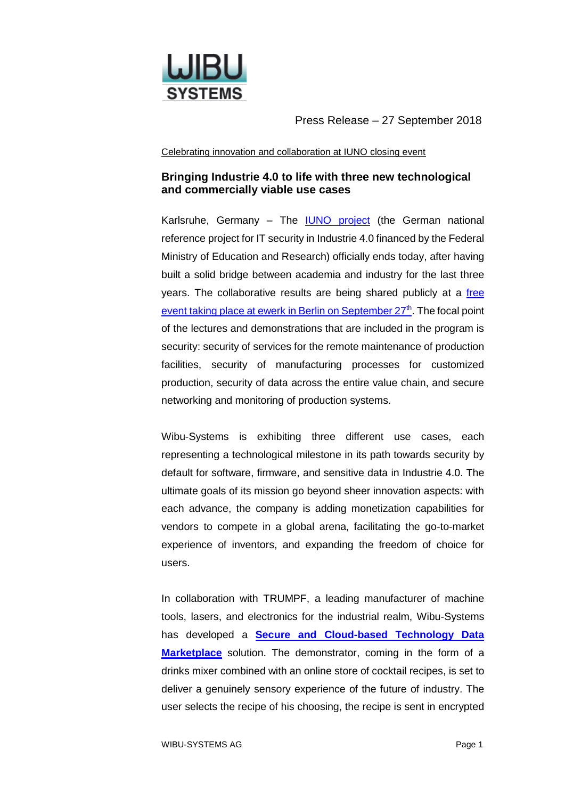

Press Release – 27 September 2018

Celebrating innovation and collaboration at IUNO closing event

## **Bringing Industrie 4.0 to life with three new technological and commercially viable use cases**

Karlsruhe, Germany – The [IUNO project](https://iuno-projekt.de/) (the German national reference project for IT security in Industrie 4.0 financed by the Federal Ministry of Education and Research) officially ends today, after having built a solid bridge between academia and industry for the last three years. The collaborative results are being shared publicly at a [free](https://pks.vdma.org/documents/4214230/26559842/IUNO_IT_Sicherheit_1531995110074.pdf/0eba1cf6-9a79-ba32-98f7-1a9bb81fea18)  [event taking place at ewerk in Berlin on September 27](https://pks.vdma.org/documents/4214230/26559842/IUNO_IT_Sicherheit_1531995110074.pdf/0eba1cf6-9a79-ba32-98f7-1a9bb81fea18)<sup>th</sup>. The focal point of the lectures and demonstrations that are included in the program is security: security of services for the remote maintenance of production facilities, security of manufacturing processes for customized production, security of data across the entire value chain, and secure networking and monitoring of production systems.

Wibu-Systems is exhibiting three different use cases, each representing a technological milestone in its path towards security by default for software, firmware, and sensitive data in Industrie 4.0. The ultimate goals of its mission go beyond sheer innovation aspects: with each advance, the company is adding monetization capabilities for vendors to compete in a global arena, facilitating the go-to-market experience of inventors, and expanding the freedom of choice for users.

In collaboration with TRUMPF, a leading manufacturer of machine tools, lasers, and electronics for the industrial realm, Wibu-Systems has developed a **[Secure and Cloud-based Technology Data](https://www.wibu.com/use-cases/file/download/5236.html)  [Marketplace](https://www.wibu.com/use-cases/file/download/5236.html)** solution. The demonstrator, coming in the form of a drinks mixer combined with an online store of cocktail recipes, is set to deliver a genuinely sensory experience of the future of industry. The user selects the recipe of his choosing, the recipe is sent in encrypted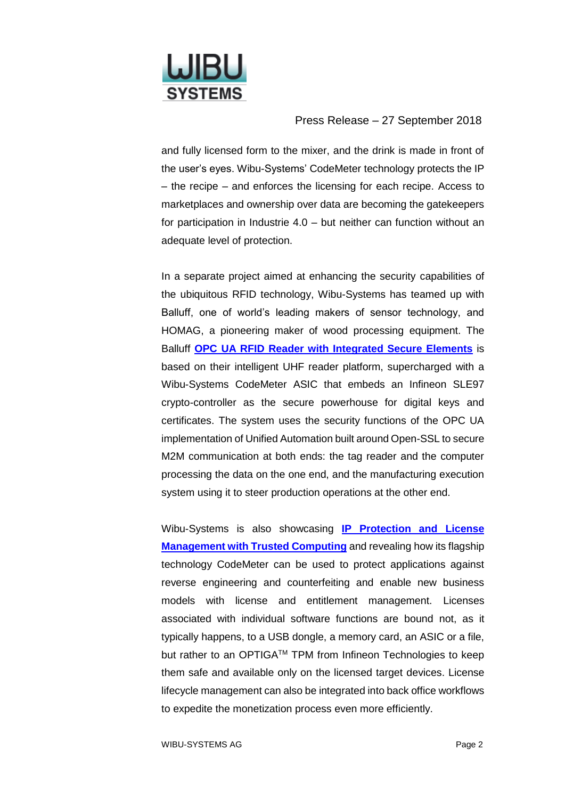

## Press Release – 27 September 2018

and fully licensed form to the mixer, and the drink is made in front of the user's eyes. Wibu-Systems' CodeMeter technology protects the IP – the recipe – and enforces the licensing for each recipe. Access to marketplaces and ownership over data are becoming the gatekeepers for participation in Industrie 4.0 – but neither can function without an adequate level of protection.

In a separate project aimed at enhancing the security capabilities of the ubiquitous RFID technology, Wibu-Systems has teamed up with Balluff, one of world's leading makers of sensor technology, and HOMAG, a pioneering maker of wood processing equipment. The Balluff **[OPC UA RFID Reader with Integrated Secure Elements](https://www.wibu.com/use-cases/file/download/5199.html)** is based on their intelligent UHF reader platform, supercharged with a Wibu-Systems CodeMeter ASIC that embeds an Infineon SLE97 crypto-controller as the secure powerhouse for digital keys and certificates. The system uses the security functions of the OPC UA implementation of Unified Automation built around Open-SSL to secure M2M communication at both ends: the tag reader and the computer processing the data on the one end, and the manufacturing execution system using it to steer production operations at the other end.

Wibu-Systems is also showcasing **[IP Protection and License](https://www.wibu.com/booklets/file/download/4536.html)  [Management with Trusted Computing](https://www.wibu.com/booklets/file/download/4536.html)** and revealing how its flagship technology CodeMeter can be used to protect applications against reverse engineering and counterfeiting and enable new business models with license and entitlement management. Licenses associated with individual software functions are bound not, as it typically happens, to a USB dongle, a memory card, an ASIC or a file, but rather to an OPTIGA™ TPM from Infineon Technologies to keep them safe and available only on the licensed target devices. License lifecycle management can also be integrated into back office workflows to expedite the monetization process even more efficiently.